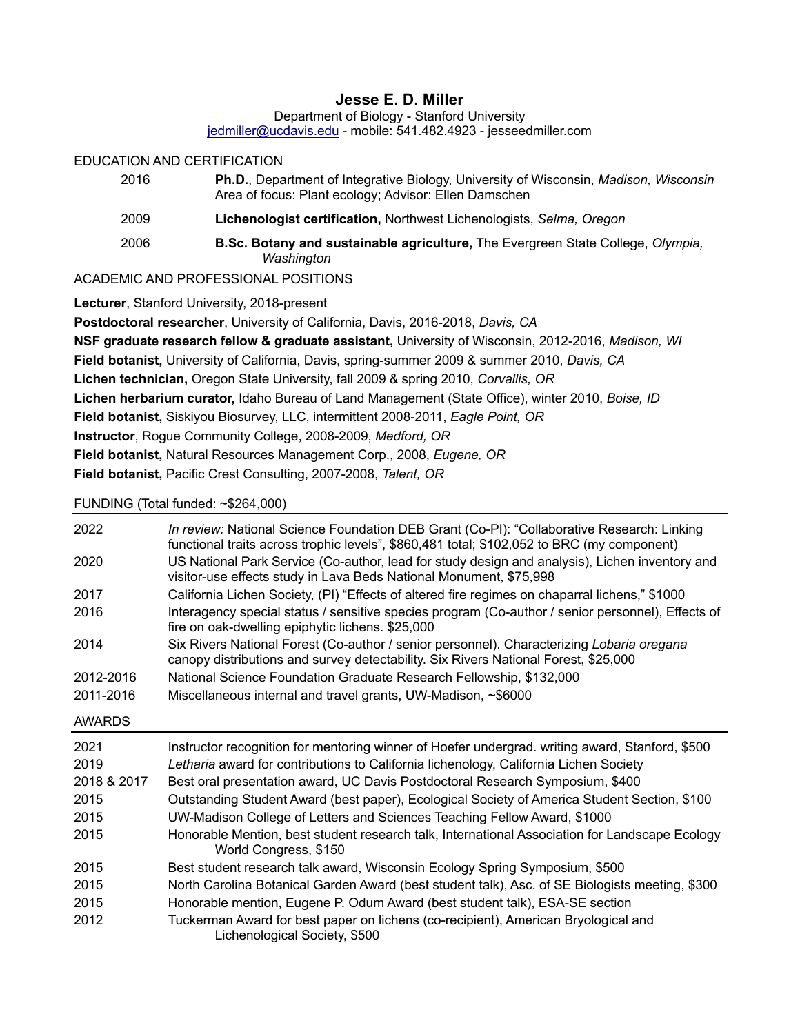## **Jesse E. D. Miller**

| Department of Biology - Stanford University                      |  |
|------------------------------------------------------------------|--|
| jedmiller@ucdavis.edu - mobile: 541.482.4923 - jesseedmiller.com |  |

# EDUCATION AND CERTIFICATION 2016 **Ph.D.**, Department of Integrative Biology, University of Wisconsin, *Madison, Wisconsin* Area of focus: Plant ecology; Advisor: Ellen Damschen 2009 **Lichenologist certification,** Northwest Lichenologists, *Selma, Oregon* 2006 **B.Sc. Botany and sustainable agriculture,** The Evergreen State College, *Olympia, Washington*

ACADEMIC AND PROFESSIONAL POSITIONS

**Lecturer**, Stanford University, 2018-present

**Postdoctoral researcher**, University of California, Davis, 2016-2018, *Davis, CA* **NSF graduate research fellow & graduate assistant,** University of Wisconsin, 2012-2016, *Madison, WI* **Field botanist,** University of California, Davis, spring-summer 2009 & summer 2010, *Davis, CA* **Lichen technician,** Oregon State University, fall 2009 & spring 2010, *Corvallis, OR* **Lichen herbarium curator,** Idaho Bureau of Land Management (State Office), winter 2010, *Boise, ID* **Field botanist,** Siskiyou Biosurvey, LLC, intermittent 2008-2011, *Eagle Point, OR* **Instructor**, Rogue Community College, 2008-2009, *Medford, OR* **Field botanist,** Natural Resources Management Corp., 2008, *Eugene, OR* **Field botanist,** Pacific Crest Consulting, 2007-2008, *Talent, OR*

FUNDING (Total funded: ~\$264,000)

| 2022<br>2020                                        | In review: National Science Foundation DEB Grant (Co-PI): "Collaborative Research: Linking<br>functional traits across trophic levels", \$860,481 total; \$102,052 to BRC (my component)<br>US National Park Service (Co-author, lead for study design and analysis), Lichen inventory and<br>visitor-use effects study in Lava Beds National Monument, \$75,998                                                                                                                                                                                                                 |
|-----------------------------------------------------|----------------------------------------------------------------------------------------------------------------------------------------------------------------------------------------------------------------------------------------------------------------------------------------------------------------------------------------------------------------------------------------------------------------------------------------------------------------------------------------------------------------------------------------------------------------------------------|
| 2017                                                | California Lichen Society, (PI) "Effects of altered fire regimes on chaparral lichens," \$1000                                                                                                                                                                                                                                                                                                                                                                                                                                                                                   |
| 2016                                                | Interagency special status / sensitive species program (Co-author / senior personnel), Effects of<br>fire on oak-dwelling epiphytic lichens. \$25,000                                                                                                                                                                                                                                                                                                                                                                                                                            |
| 2014                                                | Six Rivers National Forest (Co-author / senior personnel). Characterizing Lobaria oregana<br>canopy distributions and survey detectability. Six Rivers National Forest, \$25,000                                                                                                                                                                                                                                                                                                                                                                                                 |
| 2012-2016                                           | National Science Foundation Graduate Research Fellowship, \$132,000                                                                                                                                                                                                                                                                                                                                                                                                                                                                                                              |
| 2011-2016                                           | Miscellaneous internal and travel grants, UW-Madison, ~\$6000                                                                                                                                                                                                                                                                                                                                                                                                                                                                                                                    |
| <b>AWARDS</b>                                       |                                                                                                                                                                                                                                                                                                                                                                                                                                                                                                                                                                                  |
|                                                     |                                                                                                                                                                                                                                                                                                                                                                                                                                                                                                                                                                                  |
| 2021<br>2019<br>2018 & 2017<br>2015<br>2015<br>2015 | Instructor recognition for mentoring winner of Hoefer undergrad. writing award, Stanford, \$500<br>Letharia award for contributions to California lichenology, California Lichen Society<br>Best oral presentation award, UC Davis Postdoctoral Research Symposium, \$400<br>Outstanding Student Award (best paper), Ecological Society of America Student Section, \$100<br>UW-Madison College of Letters and Sciences Teaching Fellow Award, \$1000<br>Honorable Mention, best student research talk, International Association for Landscape Ecology<br>World Congress, \$150 |
| 2015                                                | Best student research talk award, Wisconsin Ecology Spring Symposium, \$500                                                                                                                                                                                                                                                                                                                                                                                                                                                                                                      |
| 2015                                                | North Carolina Botanical Garden Award (best student talk), Asc. of SE Biologists meeting, \$300                                                                                                                                                                                                                                                                                                                                                                                                                                                                                  |
| 2015                                                | Honorable mention, Eugene P. Odum Award (best student talk), ESA-SE section                                                                                                                                                                                                                                                                                                                                                                                                                                                                                                      |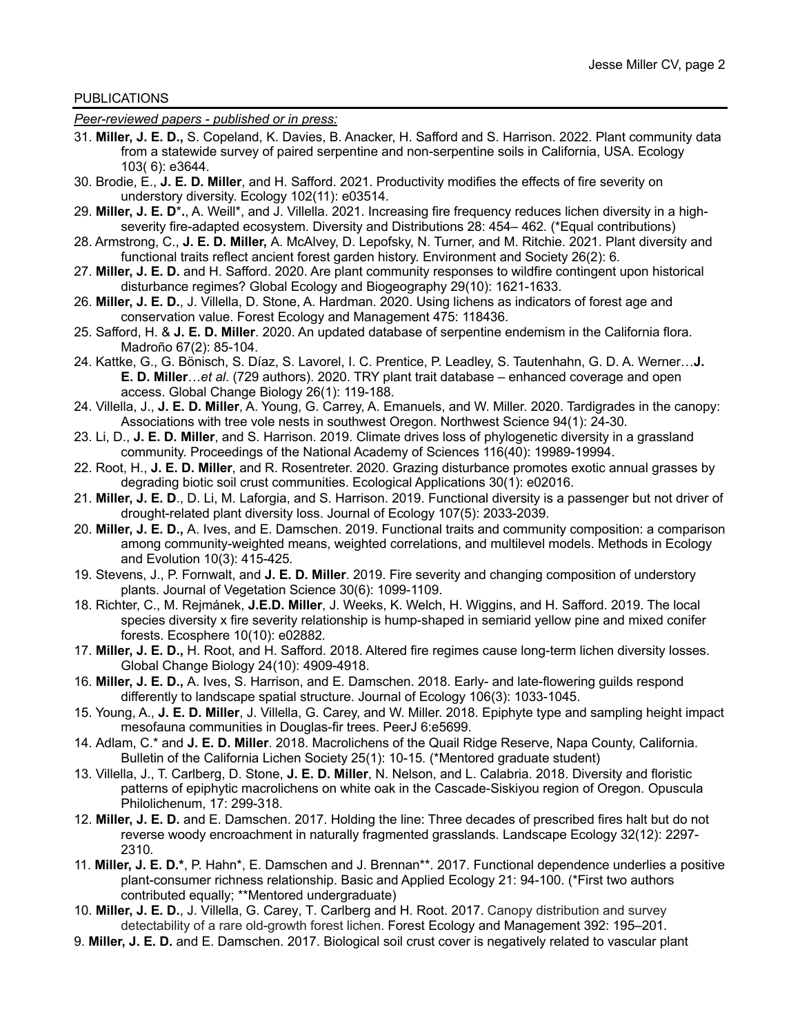## PUBLICATIONS

*Peer-reviewed papers - published or in press:*

- 31. **Miller, J. E. D.,** S. Copeland, K. Davies, B. Anacker, H. Safford and S. Harrison. 2022. Plant community data from a statewide survey of paired serpentine and non-serpentine soils in California, USA. Ecology 103( 6): e3644.
- 30. Brodie, E., **J. E. D. Miller**, and H. Safford. 2021. Productivity modifies the effects of fire severity on understory diversity. Ecology 102(11): e03514*.*
- 29. **Miller, J. E. D**\***.**, A. Weill\*, and J. Villella. 2021. Increasing fire frequency reduces lichen diversity in a highseverity fire-adapted ecosystem. Diversity and Distributions 28: 454– 462*.* (\*Equal contributions)
- 28. Armstrong, C., **J. E. D. Miller,** A. McAlvey, D. Lepofsky, N. Turner, and M. Ritchie. 2021. Plant diversity and functional traits reflect ancient forest garden history. Environment and Society 26(2): 6*.*
- 27. **Miller, J. E. D.** and H. Safford. 2020. Are plant community responses to wildfire contingent upon historical disturbance regimes? Global Ecology and Biogeography 29(10): 1621-1633.
- 26. **Miller, J. E. D.**, J. Villella, D. Stone, A. Hardman. 2020. Using lichens as indicators of forest age and conservation value. Forest Ecology and Management 475: 118436.
- 25. Safford, H. & **J. E. D. Miller**. 2020. An updated database of serpentine endemism in the California flora. Madroño 67(2): 85-104.
- 24. Kattke, G., G. Bönisch, S. Díaz, S. Lavorel, I. C. Prentice, P. Leadley, S. Tautenhahn, G. D. A. Werner…**J. E. D. Miller**…*et al*. (729 authors). 2020. TRY plant trait database – enhanced coverage and open access. Global Change Biology 26(1): 119-188.
- 24. Villella, J., **J. E. D. Miller**, A. Young, G. Carrey, A. Emanuels, and W. Miller. 2020. Tardigrades in the canopy: Associations with tree vole nests in southwest Oregon. Northwest Science 94(1): 24-30*.*
- 23. Li, D., **J. E. D. Miller**, and S. Harrison. 2019. Climate drives loss of phylogenetic diversity in a grassland community. Proceedings of the National Academy of Sciences 116(40): 19989-19994.
- 22. Root, H., **J. E. D. Miller**, and R. Rosentreter. 2020. Grazing disturbance promotes exotic annual grasses by degrading biotic soil crust communities. Ecological Applications 30(1): e02016.
- 21. **Miller, J. E. D**., D. Li, M. Laforgia, and S. Harrison. 2019. Functional diversity is a passenger but not driver of drought-related plant diversity loss. Journal of Ecology 107(5): 2033-2039.
- 20. **Miller, J. E. D.,** A. Ives, and E. Damschen. 2019. Functional traits and community composition: a comparison among community-weighted means, weighted correlations, and multilevel models. Methods in Ecology and Evolution 10(3): 415-425*.*
- 19. Stevens, J., P. Fornwalt, and **J. E. D. Miller**. 2019. Fire severity and changing composition of understory plants. Journal of Vegetation Science 30(6): 1099-1109.
- 18. Richter, C., M. Rejmánek, **J.E.D. Miller**, J. Weeks, K. Welch, H. Wiggins, and H. Safford. 2019. The local species diversity x fire severity relationship is hump-shaped in semiarid yellow pine and mixed conifer forests. Ecosphere 10(10): e02882*.*
- 17. **Miller, J. E. D.,** H. Root, and H. Safford. 2018. Altered fire regimes cause long-term lichen diversity losses. Global Change Biology 24(10): 4909-4918.
- 16. **Miller, J. E. D.,** A. Ives, S. Harrison, and E. Damschen. 2018. Early- and late-flowering guilds respond differently to landscape spatial structure. Journal of Ecology 106(3): 1033-1045.
- 15. Young, A., **J. E. D. Miller**, J. Villella, G. Carey, and W. Miller. 2018. Epiphyte type and sampling height impact mesofauna communities in Douglas-fir trees. PeerJ 6:e5699.
- 14. Adlam, C.\* and **J. E. D. Miller**. 2018. Macrolichens of the Quail Ridge Reserve, Napa County, California. Bulletin of the California Lichen Society 25(1): 10-15*.* (\*Mentored graduate student)
- 13. Villella, J., T. Carlberg, D. Stone, **J. E. D. Miller**, N. Nelson, and L. Calabria. 2018. Diversity and floristic patterns of epiphytic macrolichens on white oak in the Cascade-Siskiyou region of Oregon. Opuscula Philolichenum, 17: 299-318.
- 12. **Miller, J. E. D.** and E. Damschen. 2017. Holding the line: Three decades of prescribed fires halt but do not reverse woody encroachment in naturally fragmented grasslands. Landscape Ecology 32(12): 2297- 2310*.*
- 11. **Miller, J. E. D.\***, P. Hahn\*, E. Damschen and J. Brennan\*\*. 2017. Functional dependence underlies a positive plant-consumer richness relationship. Basic and Applied Ecology 21: 94-100. (\*First two authors contributed equally; \*\*Mentored undergraduate)
- 10. **Miller, J. E. D.**, J. Villella, G. Carey, T. Carlberg and H. Root. 2017. Canopy distribution and survey detectability of a rare old-growth forest lichen. Forest Ecology and Management 392: 195–201*.*
- 9. **Miller, J. E. D.** and E. Damschen. 2017. Biological soil crust cover is negatively related to vascular plant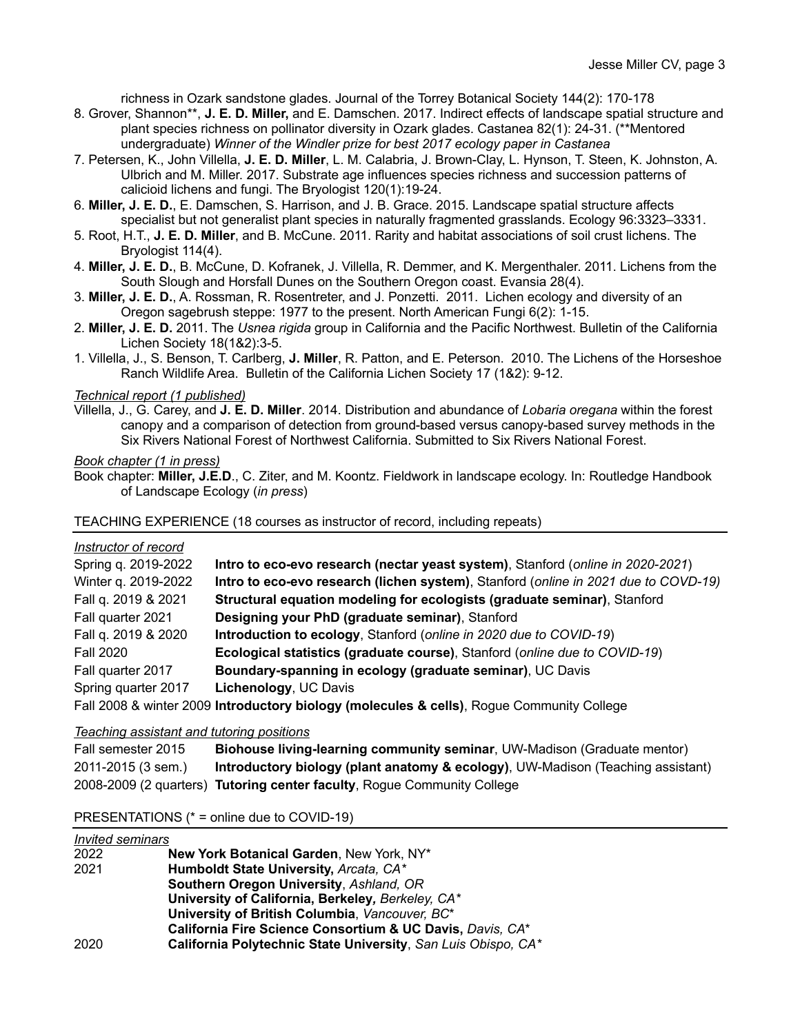richness in Ozark sandstone glades. Journal of the Torrey Botanical Society 144(2): 170-178

- 8. Grover, Shannon\*\*, **J. E. D. Miller,** and E. Damschen. 2017. Indirect effects of landscape spatial structure and plant species richness on pollinator diversity in Ozark glades. Castanea 82(1): 24-31. (\*\*Mentored undergraduate) *Winner of the Windler prize for best 2017 ecology paper in Castanea*
- 7. Petersen, K., John Villella, **J. E. D. Miller**, L. M. Calabria, J. Brown-Clay, L. Hynson, T. Steen, K. Johnston, A. Ulbrich and M. Miller. 2017. Substrate age influences species richness and succession patterns of calicioid lichens and fungi. The Bryologist 120(1):19-24.
- 6. **Miller, J. E. D.**, E. Damschen, S. Harrison, and J. B. Grace. 2015. Landscape spatial structure affects specialist but not generalist plant species in naturally fragmented grasslands. Ecology 96:3323–3331.
- 5. Root, H.T., **J. E. D. Miller**, and B. McCune. 2011. Rarity and habitat associations of soil crust lichens. The Bryologist 114(4).
- 4. **Miller, J. E. D.**, B. McCune, D. Kofranek, J. Villella, R. Demmer, and K. Mergenthaler. 2011. Lichens from the South Slough and Horsfall Dunes on the Southern Oregon coast. Evansia 28(4).
- 3. **Miller, J. E. D.**, A. Rossman, R. Rosentreter, and J. Ponzetti. 2011. Lichen ecology and diversity of an Oregon sagebrush steppe: 1977 to the present. North American Fungi 6(2): 1-15.
- 2. **Miller, J. E. D.** 2011. The *Usnea rigida* group in California and the Pacific Northwest. Bulletin of the California Lichen Society 18(1&2):3-5.
- 1. Villella, J., S. Benson, T. Carlberg, **J. Miller**, R. Patton, and E. Peterson. 2010. The Lichens of the Horseshoe Ranch Wildlife Area. Bulletin of the California Lichen Society 17 (1&2): 9-12.

#### *Technical report (1 published)*

Villella, J., G. Carey, and **J. E. D. Miller**. 2014. Distribution and abundance of *Lobaria oregana* within the forest canopy and a comparison of detection from ground-based versus canopy-based survey methods in the Six Rivers National Forest of Northwest California. Submitted to Six Rivers National Forest.

#### *Book chapter (1 in press)*

Book chapter: **Miller, J.E.D**., C. Ziter, and M. Koontz. Fieldwork in landscape ecology. In: Routledge Handbook of Landscape Ecology (*in press*)

### TEACHING EXPERIENCE (18 courses as instructor of record, including repeats)

#### *Instructor of record*

| Spring q. 2019-2022 | Intro to eco-evo research (nectar yeast system), Stanford (online in 2020-2021)           |
|---------------------|-------------------------------------------------------------------------------------------|
| Winter g. 2019-2022 | Intro to eco-evo research (lichen system), Stanford (online in 2021 due to COVD-19)       |
| Fall q. 2019 & 2021 | Structural equation modeling for ecologists (graduate seminar), Stanford                  |
| Fall quarter 2021   | Designing your PhD (graduate seminar), Stanford                                           |
| Fall q. 2019 & 2020 | Introduction to ecology, Stanford (online in 2020 due to COVID-19)                        |
| <b>Fall 2020</b>    | Ecological statistics (graduate course), Stanford (online due to COVID-19)                |
| Fall quarter 2017   | Boundary-spanning in ecology (graduate seminar), UC Davis                                 |
| Spring quarter 2017 | Lichenology, UC Davis                                                                     |
|                     | Fall 2008 & winter 2009 Introductory biology (molecules & cells), Rogue Community College |

## *Teaching assistant and tutoring positions*

```
Fall semester 2015 Biohouse living-learning community seminar, UW-Madison (Graduate mentor)
2011-2015 (3 sem.) Introductory biology (plant anatomy & ecology), UW-Madison (Teaching assistant)
2008-2009 (2 quarters) Tutoring center faculty, Rogue Community College
```
#### PRESENTATIONS (\* = online due to COVID-19)

| <i>Invited seminars</i> |                                                               |
|-------------------------|---------------------------------------------------------------|
| 2022                    | <b>New York Botanical Garden, New York, NY*</b>               |
| 2021                    | Humboldt State University, Arcata, CA*                        |
|                         | Southern Oregon University, Ashland, OR                       |
|                         | University of California, Berkeley, Berkeley, CA*             |
|                         | University of British Columbia, Vancouver, BC*                |
|                         | California Fire Science Consortium & UC Davis, Davis, CA*     |
| 2020                    | California Polytechnic State University, San Luis Obispo, CA* |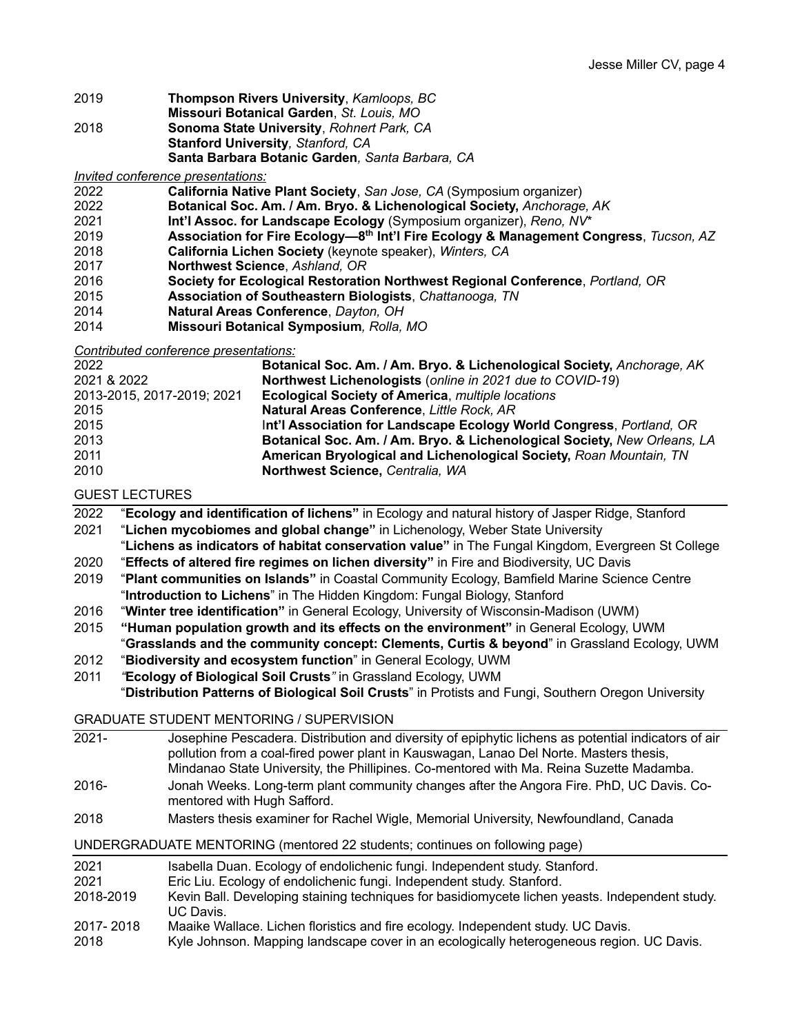- 2019 **Thompson Rivers University**, *Kamloops, BC*
- **Missouri Botanical Garden**, *St. Louis, MO*
- 2018 **Sonoma State University**, *Rohnert Park, CA* **Stanford University***, Stanford, CA* **Santa Barbara Botanic Garden***, Santa Barbara, CA*

*Invited conference presentations:*

- 2022 **California Native Plant Society**, *San Jose, CA* (Symposium organizer)
- 2022 **Botanical Soc. Am. / Am. Bryo. & Lichenological Society,** *Anchorage, AK*
- 2021 **Int'l Assoc. for Landscape Ecology** (Symposium organizer), *Reno, NV*\*
- 2019 **Association for Fire Ecology—8th Int'l Fire Ecology & Management Congress**, *Tucson, AZ*
- 2018 **California Lichen Society** (keynote speaker), *Winters, CA*
- 2017 **Northwest Science**, *Ashland, OR*
- 2016 **Society for Ecological Restoration Northwest Regional Conference**, *Portland, OR*
- 2015 **Association of Southeastern Biologists**, *Chattanooga, TN*
- 2014 **Natural Areas Conference**, *Dayton, OH*
- 2014 **Missouri Botanical Symposium***, Rolla, MO*

*Contributed conference presentations:*

| 2022                       | Botanical Soc. Am. / Am. Bryo. & Lichenological Society, Anchorage, AK   |
|----------------------------|--------------------------------------------------------------------------|
| 2021 & 2022                | Northwest Lichenologists (online in 2021 due to COVID-19)                |
| 2013-2015, 2017-2019; 2021 | <b>Ecological Society of America, multiple locations</b>                 |
| 2015                       | Natural Areas Conference, Little Rock, AR                                |
| 2015                       | Int'l Association for Landscape Ecology World Congress, Portland, OR     |
| 2013                       | Botanical Soc. Am. / Am. Bryo. & Lichenological Society, New Orleans, LA |
| 2011                       | American Bryological and Lichenological Society, Roan Mountain, TN       |
| 2010                       | Northwest Science, Centralia, WA                                         |
|                            |                                                                          |

GUEST LECTURES

- 2022 "**Ecology and identification of lichens"** in Ecology and natural history of Jasper Ridge, Stanford
- 2021 "**Lichen mycobiomes and global change"** in Lichenology, Weber State University
- "**Lichens as indicators of habitat conservation value"** in The Fungal Kingdom, Evergreen St College 2020 "**Effects of altered fire regimes on lichen diversity"** in Fire and Biodiversity, UC Davis
- 2019 "**Plant communities on Islands"** in Coastal Community Ecology, Bamfield Marine Science Centre "**Introduction to Lichens**" in The Hidden Kingdom: Fungal Biology, Stanford
- 2016 "**Winter tree identification"** in General Ecology, University of Wisconsin-Madison (UWM)
- 2015 **"Human population growth and its effects on the environment"** in General Ecology, UWM "**Grasslands and the community concept: Clements, Curtis & beyond**" in Grassland Ecology, UWM
- 2012 "**Biodiversity and ecosystem function**" in General Ecology, UWM
- 2011 *"***Ecology of Biological Soil Crusts***"* in Grassland Ecology, UWM

"**Distribution Patterns of Biological Soil Crusts**" in Protists and Fungi, Southern Oregon University

GRADUATE STUDENT MENTORING / SUPERVISION

| $2021 -$  | Josephine Pescadera. Distribution and diversity of epiphytic lichens as potential indicators of air<br>pollution from a coal-fired power plant in Kauswagan, Lanao Del Norte. Masters thesis,<br>Mindanao State University, the Phillipines. Co-mentored with Ma. Reina Suzette Madamba. |
|-----------|------------------------------------------------------------------------------------------------------------------------------------------------------------------------------------------------------------------------------------------------------------------------------------------|
| $2016 -$  | Jonah Weeks. Long-term plant community changes after the Angora Fire. PhD, UC Davis. Co-<br>mentored with Hugh Safford.                                                                                                                                                                  |
| 2018      | Masters thesis examiner for Rachel Wigle, Memorial University, Newfoundland, Canada                                                                                                                                                                                                      |
|           | UNDERGRADUATE MENTORING (mentored 22 students; continues on following page)                                                                                                                                                                                                              |
| 2021      | Isabella Duan. Ecology of endolichenic fungi. Independent study. Stanford.                                                                                                                                                                                                               |
| 2021      | Eric Liu. Ecology of endolichenic fungi. Independent study. Stanford.                                                                                                                                                                                                                    |
| 2018-2019 | Kevin Ball. Developing staining techniques for basidiomycete lichen yeasts. Independent study.<br>UC Davis.                                                                                                                                                                              |
| 2017-2018 | Maaike Wallace. Lichen floristics and fire ecology. Independent study. UC Davis.                                                                                                                                                                                                         |
| nn 1 n    | Kula Jahnaan, Manning landaanaa asusu in an aastaajaally hatanananaassa nanjan, UO Davia                                                                                                                                                                                                 |

2018 Kyle Johnson. Mapping landscape cover in an ecologically heterogeneous region. UC Davis.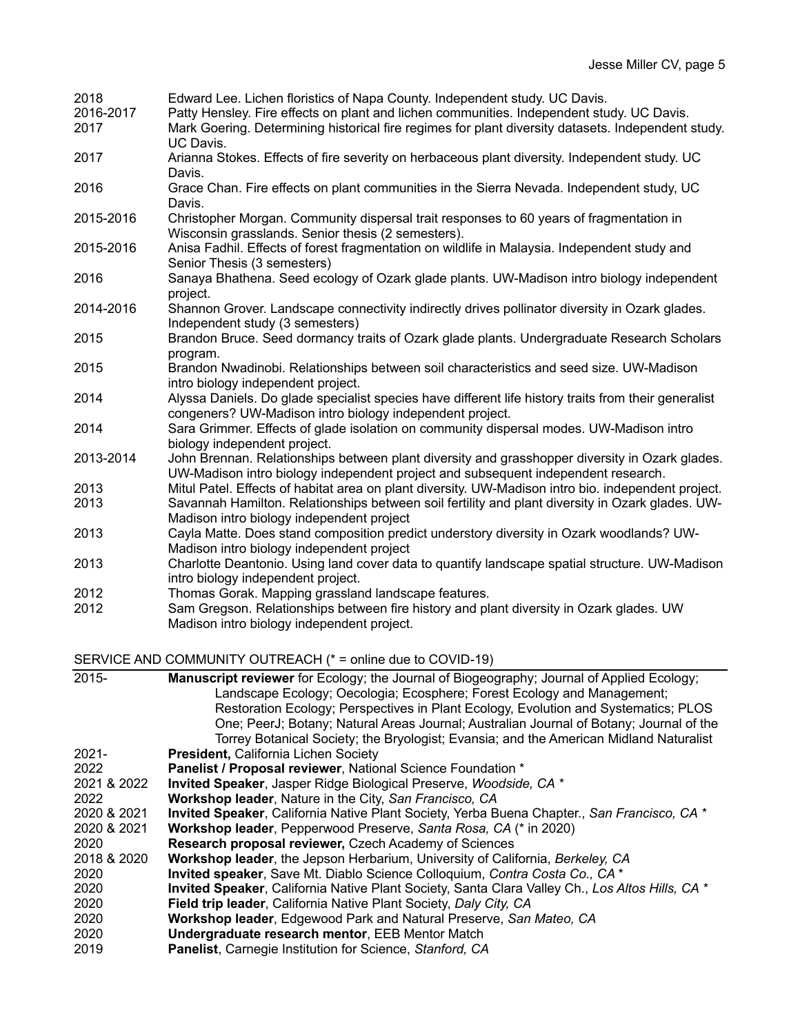| 2018              | Edward Lee. Lichen floristics of Napa County. Independent study. UC Davis.                                                                                                                      |
|-------------------|-------------------------------------------------------------------------------------------------------------------------------------------------------------------------------------------------|
| 2016-2017<br>2017 | Patty Hensley. Fire effects on plant and lichen communities. Independent study. UC Davis.<br>Mark Goering. Determining historical fire regimes for plant diversity datasets. Independent study. |
| 2017              | UC Davis.<br>Arianna Stokes. Effects of fire severity on herbaceous plant diversity. Independent study. UC                                                                                      |
|                   | Davis.                                                                                                                                                                                          |
| 2016              | Grace Chan. Fire effects on plant communities in the Sierra Nevada. Independent study, UC<br>Davis.                                                                                             |
| 2015-2016         | Christopher Morgan. Community dispersal trait responses to 60 years of fragmentation in<br>Wisconsin grasslands. Senior thesis (2 semesters).                                                   |
| 2015-2016         | Anisa Fadhil. Effects of forest fragmentation on wildlife in Malaysia. Independent study and<br>Senior Thesis (3 semesters)                                                                     |
| 2016              | Sanaya Bhathena. Seed ecology of Ozark glade plants. UW-Madison intro biology independent<br>project.                                                                                           |
| 2014-2016         | Shannon Grover. Landscape connectivity indirectly drives pollinator diversity in Ozark glades.<br>Independent study (3 semesters)                                                               |
| 2015              | Brandon Bruce. Seed dormancy traits of Ozark glade plants. Undergraduate Research Scholars<br>program.                                                                                          |
| 2015              | Brandon Nwadinobi. Relationships between soil characteristics and seed size. UW-Madison<br>intro biology independent project.                                                                   |
| 2014              | Alyssa Daniels. Do glade specialist species have different life history traits from their generalist<br>congeners? UW-Madison intro biology independent project.                                |
| 2014              | Sara Grimmer. Effects of glade isolation on community dispersal modes. UW-Madison intro<br>biology independent project.                                                                         |
| 2013-2014         | John Brennan. Relationships between plant diversity and grasshopper diversity in Ozark glades.<br>UW-Madison intro biology independent project and subsequent independent research.             |
| 2013              | Mitul Patel. Effects of habitat area on plant diversity. UW-Madison intro bio. independent project.                                                                                             |
| 2013              | Savannah Hamilton. Relationships between soil fertility and plant diversity in Ozark glades. UW-                                                                                                |
| 2013              | Madison intro biology independent project<br>Cayla Matte. Does stand composition predict understory diversity in Ozark woodlands? UW-                                                           |
|                   | Madison intro biology independent project                                                                                                                                                       |
| 2013              | Charlotte Deantonio. Using land cover data to quantify landscape spatial structure. UW-Madison                                                                                                  |
|                   | intro biology independent project.                                                                                                                                                              |
| 2012              | Thomas Gorak. Mapping grassland landscape features.                                                                                                                                             |
| 2012              | Sam Gregson. Relationships between fire history and plant diversity in Ozark glades. UW<br>Madison intro biology independent project.                                                           |

SERVICE AND COMMUNITY OUTREACH (\* = online due to COVID-19)

| 2015-       | <b>Manuscript reviewer</b> for Ecology; the Journal of Biogeography; Journal of Applied Ecology;<br>Landscape Ecology; Oecologia; Ecosphere; Forest Ecology and Management;<br>Restoration Ecology; Perspectives in Plant Ecology, Evolution and Systematics; PLOS<br>One; PeerJ; Botany; Natural Areas Journal; Australian Journal of Botany; Journal of the |
|-------------|---------------------------------------------------------------------------------------------------------------------------------------------------------------------------------------------------------------------------------------------------------------------------------------------------------------------------------------------------------------|
|             | Torrey Botanical Society; the Bryologist; Evansia; and the American Midland Naturalist                                                                                                                                                                                                                                                                        |
| $2021 -$    | President, California Lichen Society                                                                                                                                                                                                                                                                                                                          |
| 2022        | Panelist / Proposal reviewer, National Science Foundation *                                                                                                                                                                                                                                                                                                   |
| 2021 & 2022 | Invited Speaker, Jasper Ridge Biological Preserve, Woodside, CA *                                                                                                                                                                                                                                                                                             |
| 2022        | Workshop leader, Nature in the City, San Francisco, CA                                                                                                                                                                                                                                                                                                        |
| 2020 & 2021 | Invited Speaker, California Native Plant Society, Yerba Buena Chapter., San Francisco, CA *                                                                                                                                                                                                                                                                   |
| 2020 & 2021 | Workshop leader, Pepperwood Preserve, Santa Rosa, CA (* in 2020)                                                                                                                                                                                                                                                                                              |
| 2020        | Research proposal reviewer, Czech Academy of Sciences                                                                                                                                                                                                                                                                                                         |
| 2018 & 2020 | Workshop leader, the Jepson Herbarium, University of California, Berkeley, CA                                                                                                                                                                                                                                                                                 |
| 2020        | Invited speaker, Save Mt. Diablo Science Colloquium, Contra Costa Co., CA *                                                                                                                                                                                                                                                                                   |
| 2020        | Invited Speaker, California Native Plant Society, Santa Clara Valley Ch., Los Altos Hills, CA *                                                                                                                                                                                                                                                               |
| 2020        | Field trip leader, California Native Plant Society, Daly City, CA                                                                                                                                                                                                                                                                                             |
| 2020        | Workshop leader, Edgewood Park and Natural Preserve, San Mateo, CA                                                                                                                                                                                                                                                                                            |
| 2020        | Undergraduate research mentor, EEB Mentor Match                                                                                                                                                                                                                                                                                                               |
| 2019        | Panelist, Carnegie Institution for Science, Stanford, CA                                                                                                                                                                                                                                                                                                      |